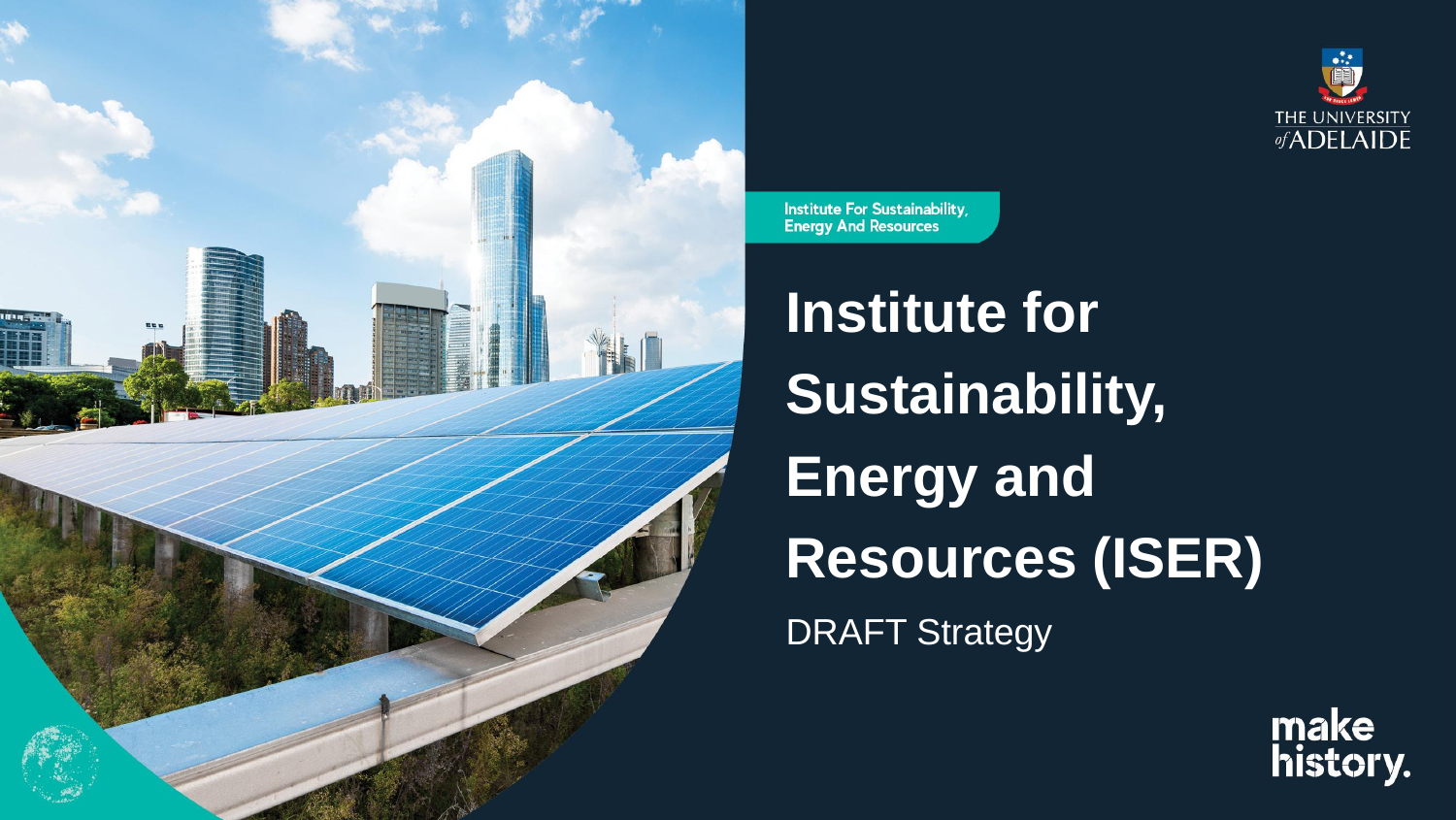

Institute For Sustainability, **Energy And Resources** 

**Institute for Sustainability, Energy and Resources (ISER)** DRAFT Strategy



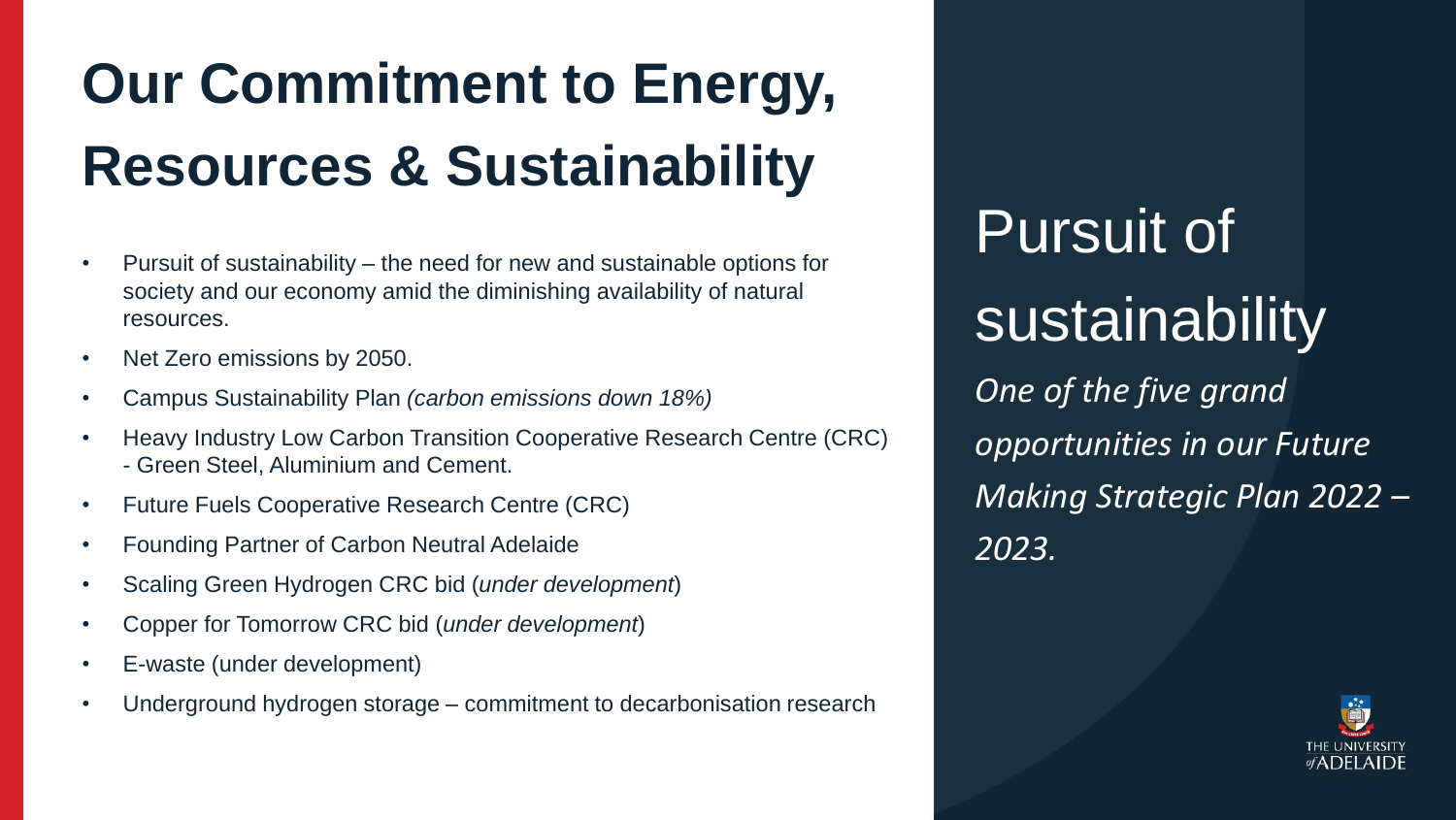Pursuit of sustainability *One of the five grand opportunities in our Future Making Strategic Plan 2022 – 2023.*



# **Our Commitment to Energy, Resources & Sustainability**

- Pursuit of sustainability the need for new and sustainable options for society and our economy amid the diminishing availability of natural resources.
- Net Zero emissions by 2050.
- Campus Sustainability Plan *(carbon emissions down 18%)*
- Heavy Industry Low Carbon Transition Cooperative Research Centre (CRC) - Green Steel, Aluminium and Cement.
- Future Fuels Cooperative Research Centre (CRC)
- Founding Partner of Carbon Neutral Adelaide
- Scaling Green Hydrogen CRC bid (*under development*)
- Copper for Tomorrow CRC bid (*under development*)
- E-waste (under development)
- Underground hydrogen storage commitment to decarbonisation research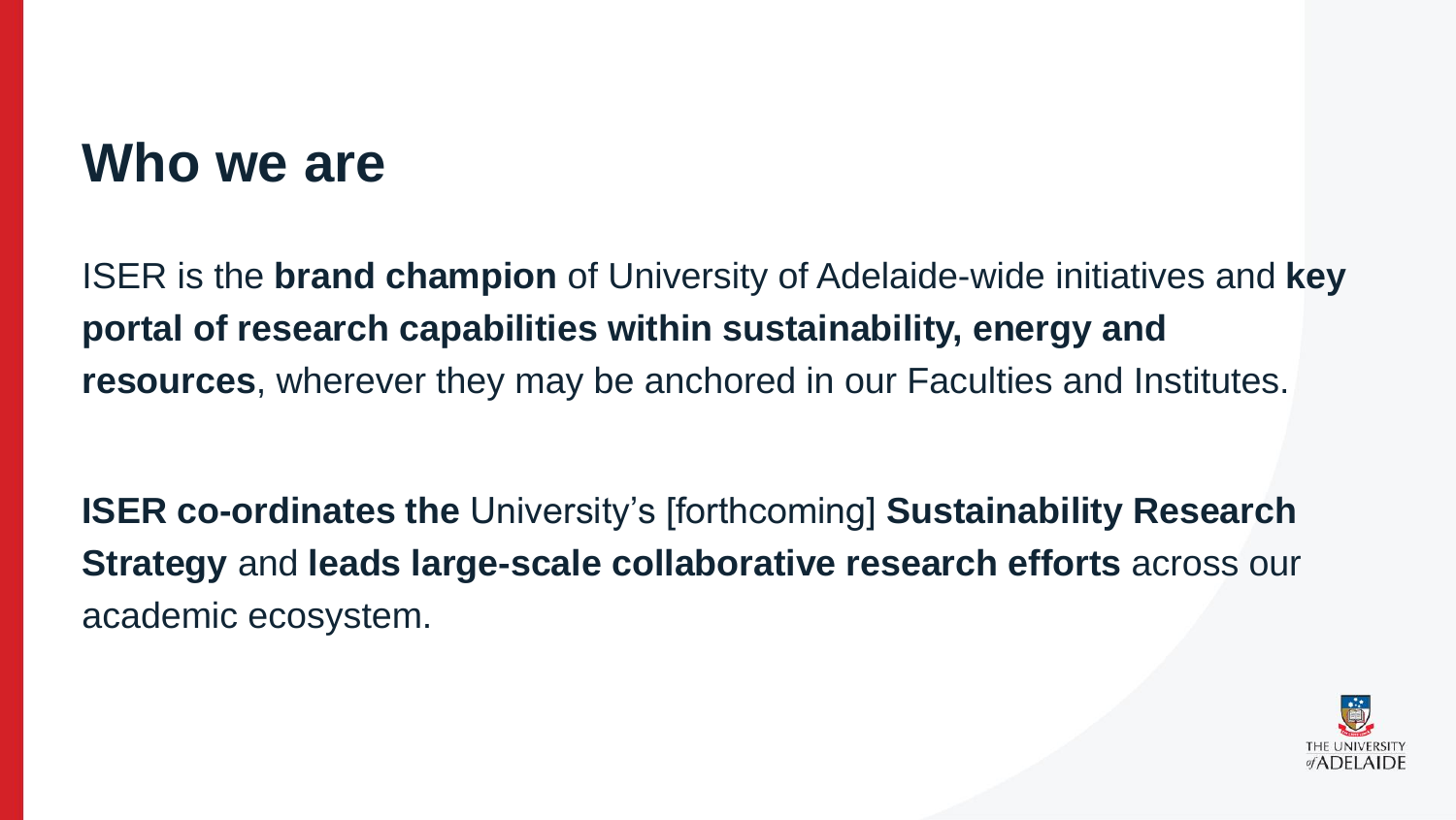## **Who we are**

ISER is the **brand champion** of University of Adelaide-wide initiatives and **key portal of research capabilities within sustainability, energy and resources**, wherever they may be anchored in our Faculties and Institutes.

**ISER co-ordinates the** University's [forthcoming] **Sustainability Research Strategy** and **leads large-scale collaborative research efforts** across our academic ecosystem.

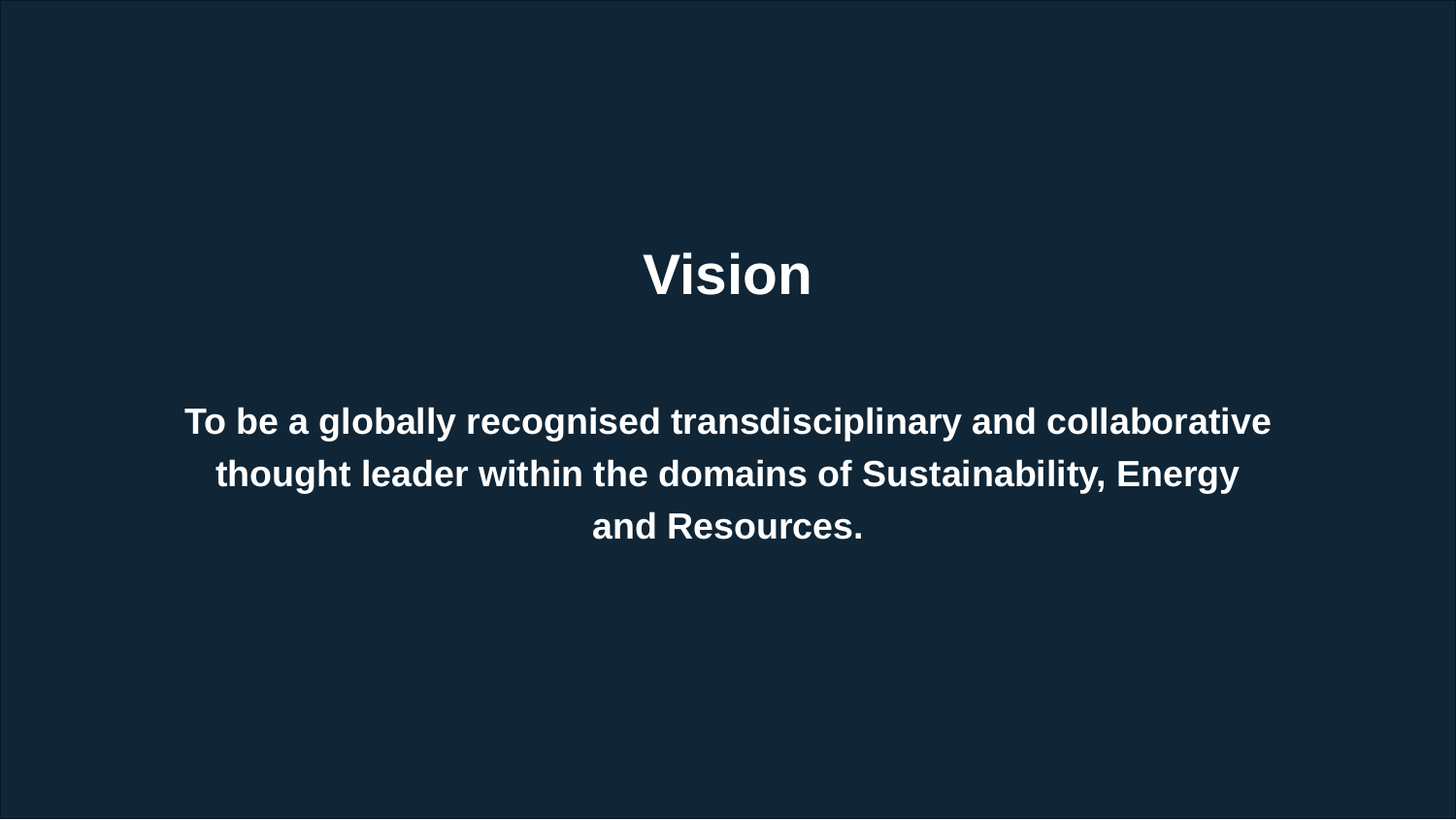## **Vision**

**To be a globally recognised transdisciplinary and collaborative thought leader within the domains of Sustainability, Energy and Resources.**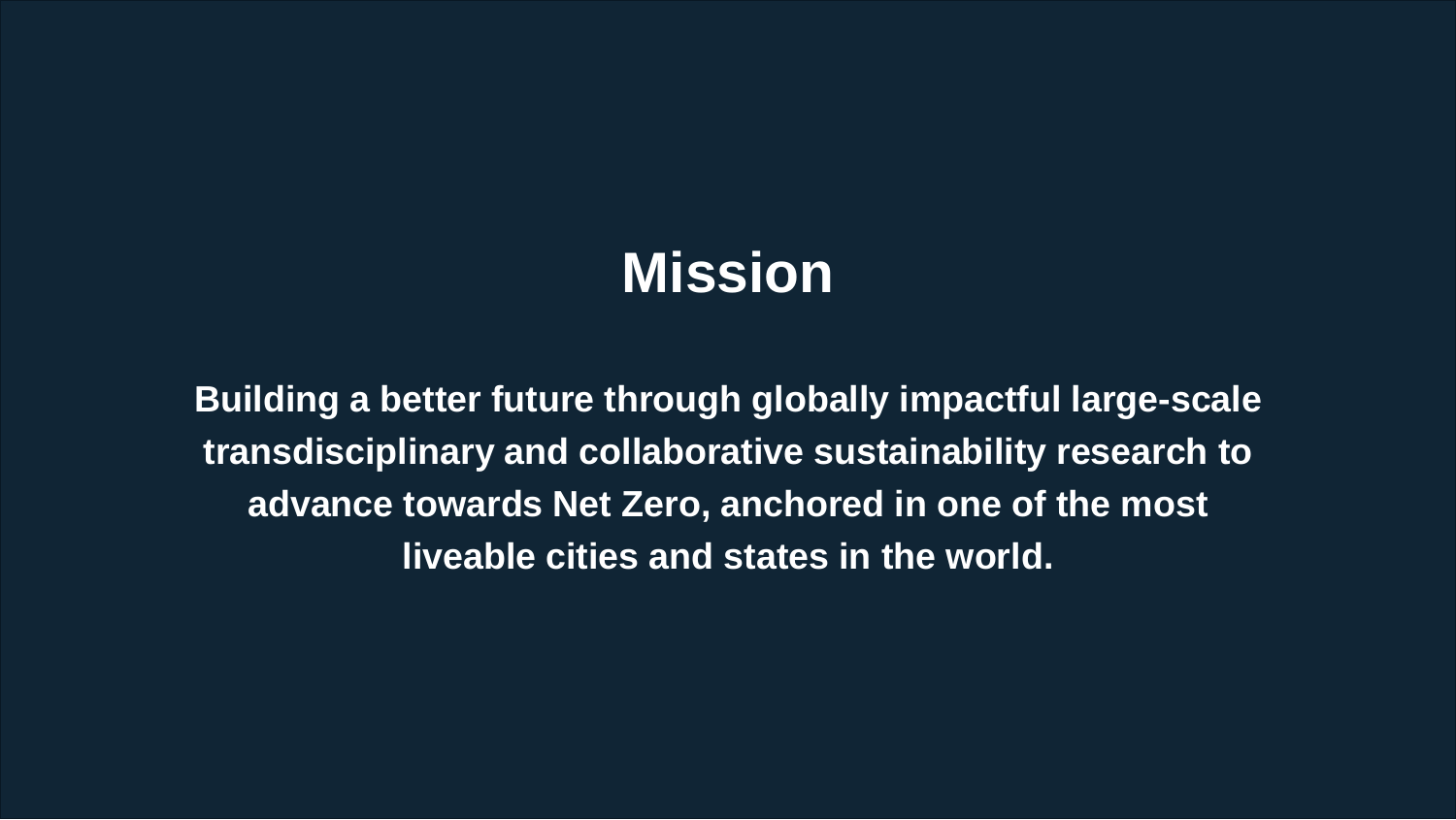## **Mission**

**Building a better future through globally impactful large-scale transdisciplinary and collaborative sustainability research to advance towards Net Zero, anchored in one of the most liveable cities and states in the world.**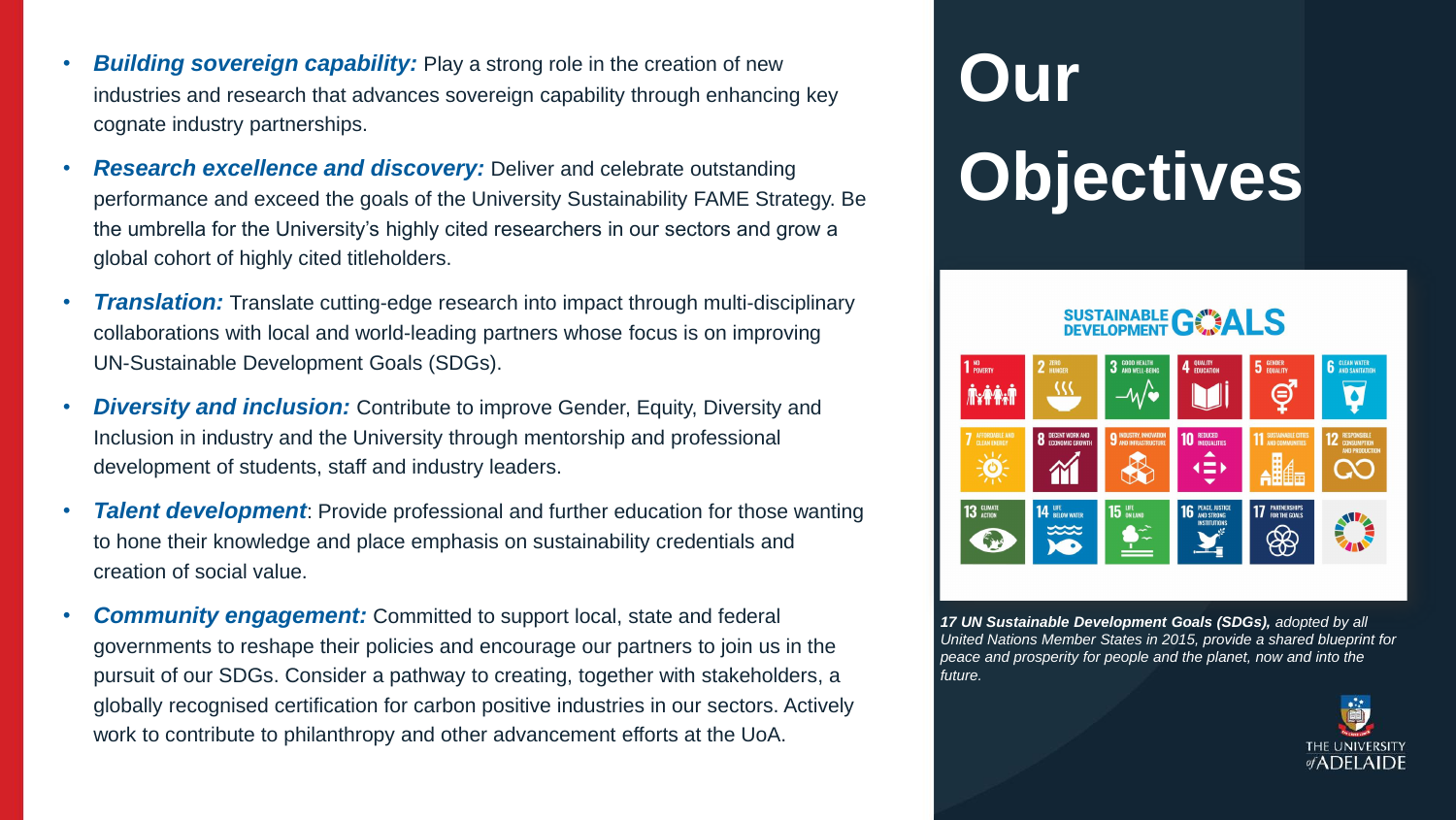# **Our Objectives**

## **SUSTAINABLE GWALS**



- **Building sovereign capability:** Play a strong role in the creation of new industries and research that advances sovereign capability through enhancing key cognate industry partnerships.
- *Research excellence and discovery:* Deliver and celebrate outstanding performance and exceed the goals of the University Sustainability FAME Strategy. Be the umbrella for the University's highly cited researchers in our sectors and grow a global cohort of highly cited titleholders.
- **Translation:** Translate cutting-edge research into impact through multi-disciplinary collaborations with local and world-leading partners whose focus is on improving UN-Sustainable Development Goals (SDGs).
- **Diversity and inclusion:** Contribute to improve Gender, Equity, Diversity and Inclusion in industry and the University through mentorship and professional development of students, staff and industry leaders.
- *Talent development*: Provide professional and further education for those wanting to hone their knowledge and place emphasis on sustainability credentials and creation of social value.
- *Community engagement:* Committed to support local, state and federal governments to reshape their policies and encourage our partners to join us in the pursuit of our SDGs. Consider a pathway to creating, together with stakeholders, a globally recognised certification for carbon positive industries in our sectors. Actively work to contribute to philanthropy and other advancement efforts at the UoA.

*17 UN Sustainable Development Goals (SDGs), adopted by all United Nations Member States in 2015, provide a shared blueprint for peace and prosperity for people and the planet, now and into the* 

*future.* 

(ပ)

**13 GLIMATE** 

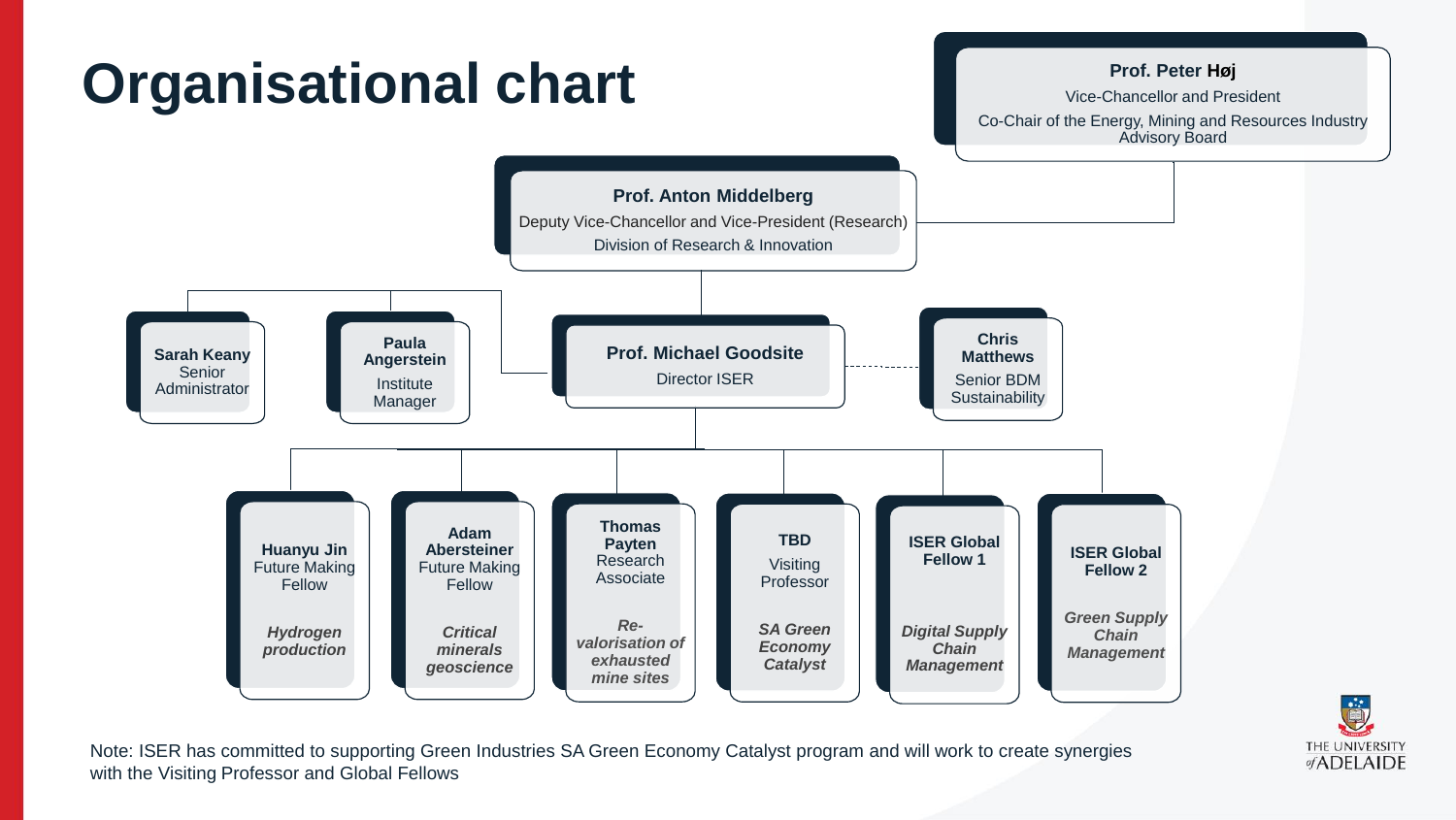

with the Visiting Professor and Global Fellows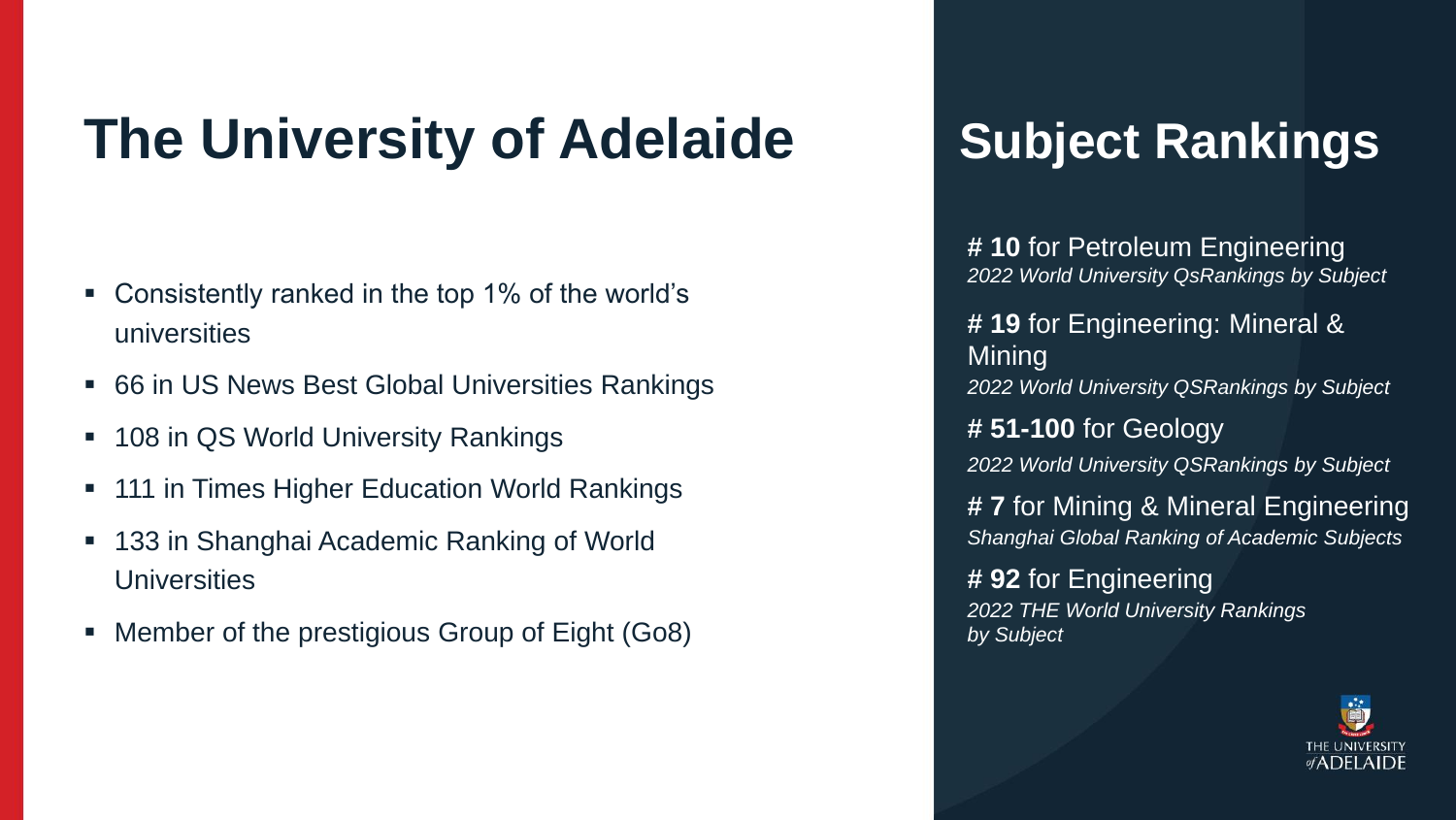## **The University of Adelaide**

- Consistently ranked in the top 1% of the world's universities
- 66 in US News Best Global Universities Rankings
- 108 in QS World University Rankings
- 111 in Times Higher Education World Rankings
- 133 in Shanghai Academic Ranking of World **Universities**
- Member of the prestigious Group of Eight (Go8)

Mining

- **# 10** for Petroleum Engineering *2022 World University QsRankings by Subject*
- **# 19** for Engineering: Mineral &
- *2022 World University QSRankings by Subject*
- **# 51-100** for Geology
- *2022 World University QSRankings by Subject*
- **# 7** for Mining & Mineral Engineering *Shanghai Global Ranking of Academic Subjects*
- **# 92** for Engineering *2022 THE World University Rankings*



*by Subject*

## **Subject Rankings**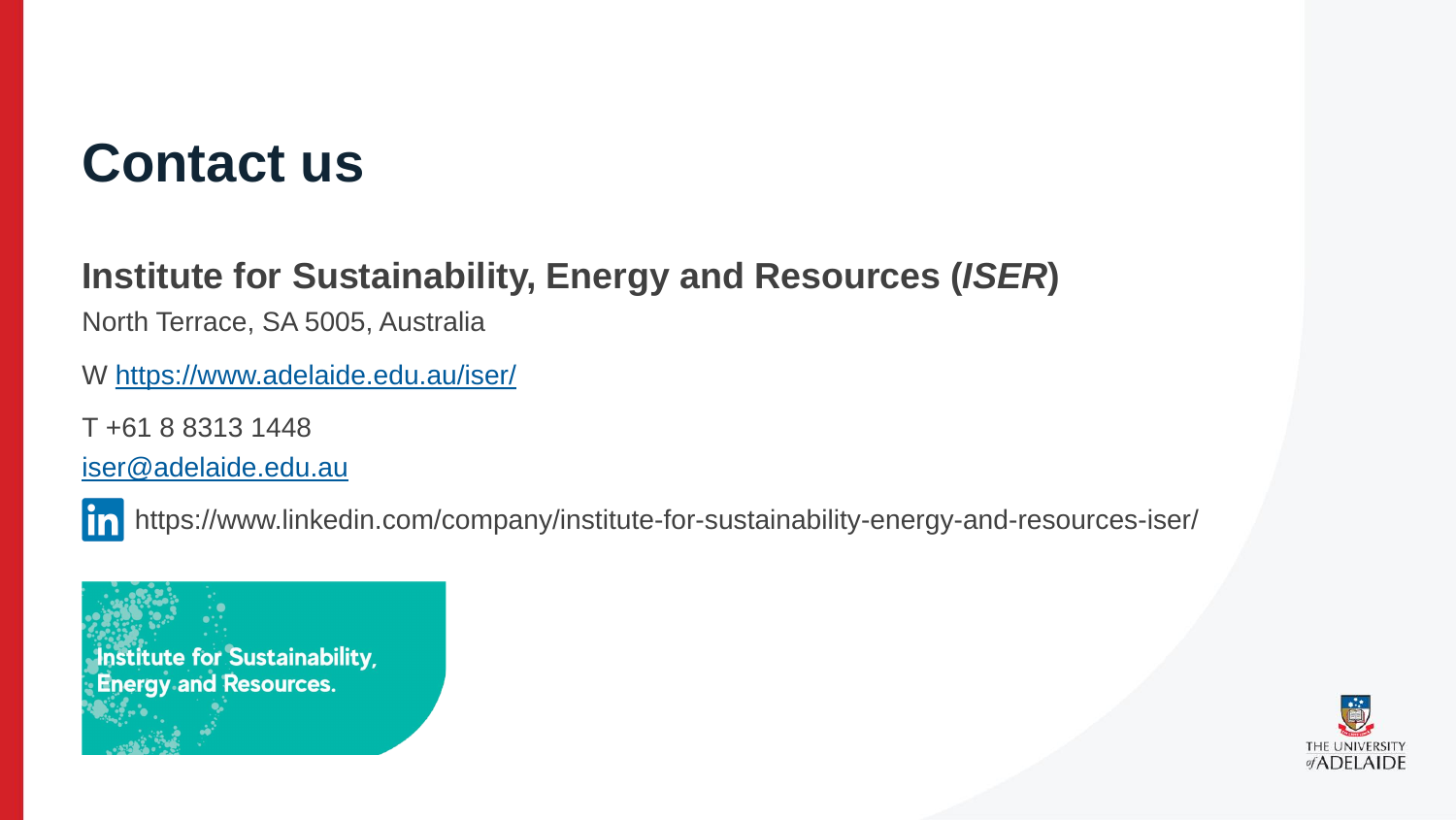## **Contact us**

## **Institute for Sustainability, Energy and Resources (***ISER***)**

North Terrace, SA 5005, Australia

W<https://www.adelaide.edu.au/iser/>

T +61 8 8313 1448

[iser@adelaide.edu.au](mailto:iser@adelaide.edu.au)

https://www.linkedin.com/company/institute-for-sustainability-energy-and-resources-iser/

Institute for Sustainability, **Energy and Resources.**